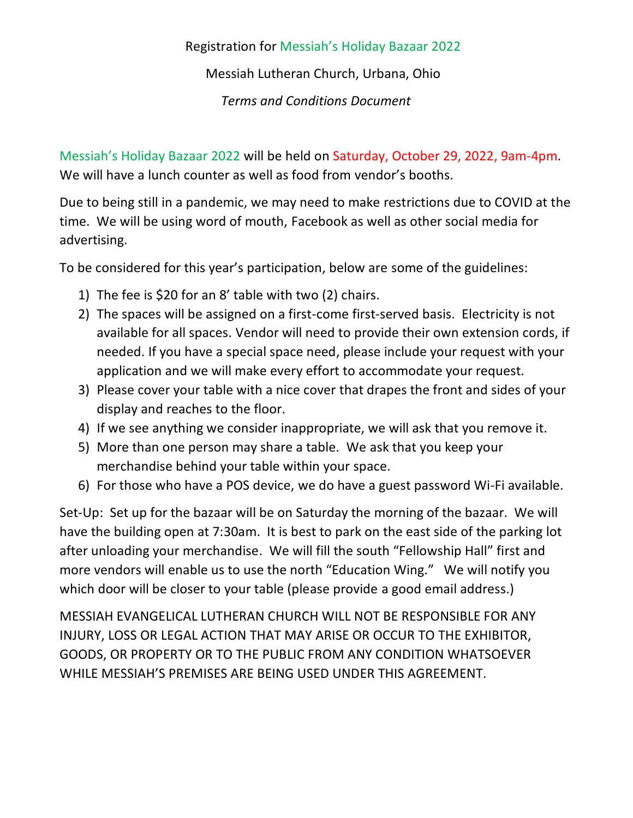## Registration for Messiah's Holiday Bazaar 2022

Messiah Lutheran Church, Urbana, Ohio

*Terms and Conditions Document*

Messiah's Holiday Bazaar 2022 will be held on Saturday, October 29, 2022, 9am-4pm. We will have a lunch counter as well as food from vendor's booths.

Due to being still in a pandemic, we may need to make restrictions due to COVID at the time. We will be using word of mouth, Facebook as well as other social media for advertising.

To be considered for this year's participation, below are some of the guidelines:

- 1) The fee is \$20 for an 8' table with two (2) chairs.
- 2) The spaces will be assigned on a first-come first-served basis. Electricity is not available for all spaces. Vendor will need to provide their own extension cords, if needed. If you have a special space need, please include your request with your application and we will make every effort to accommodate your request.
- 3) Please cover your table with a nice cover that drapes the front and sides of your display and reaches to the floor.
- 4) If we see anything we consider inappropriate, we will ask that you remove it.
- 5) More than one person may share a table. We ask that you keep your merchandise behind your table within your space.
- 6) For those who have a POS device, we do have a guest password Wi-Fi available.

Set-Up: Set up for the bazaar will be on Saturday the morning of the bazaar. We will have the building open at 7:30am. It is best to park on the east side of the parking lot after unloading your merchandise. We will fill the south "Fellowship Hall" first and more vendors will enable us to use the north "Education Wing." We will notify you which door will be closer to your table (please provide a good email address.)

MESSIAH EVANGELICAL LUTHERAN CHURCH WILL NOT BE RESPONSIBLE FOR ANY INJURY, LOSS OR LEGAL ACTION THAT MAY ARISE OR OCCUR TO THE EXHIBITOR, GOODS, OR PROPERTY OR TO THE PUBLIC FROM ANY CONDITION WHATSOEVER WHILE MESSIAH'S PREMISES ARE BEING USED UNDER THIS AGREEMENT.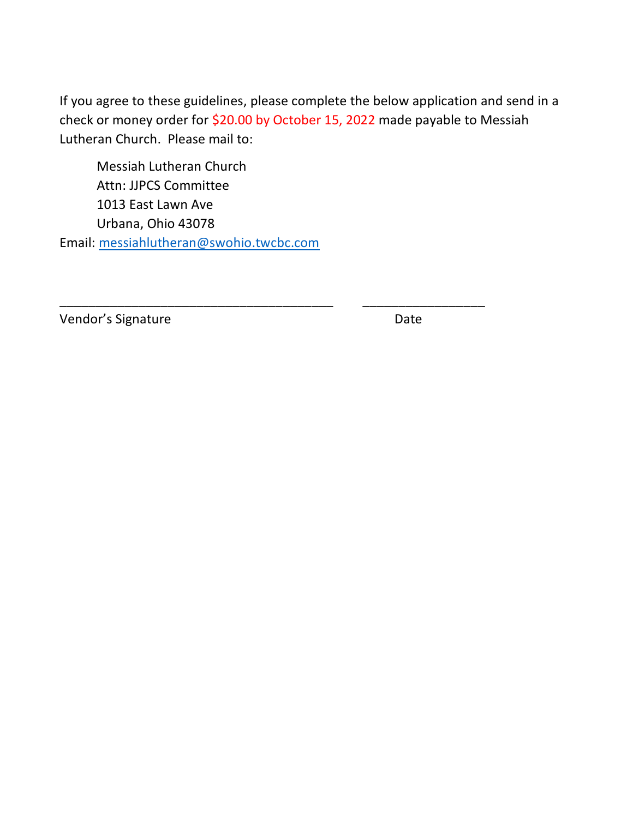If you agree to these guidelines, please complete the below application and send in a check or money order for \$20.00 by October 15, 2022 made payable to Messiah Lutheran Church. Please mail to:

\_\_\_\_\_\_\_\_\_\_\_\_\_\_\_\_\_\_\_\_\_\_\_\_\_\_\_\_\_\_\_\_\_\_\_\_\_\_ \_\_\_\_\_\_\_\_\_\_\_\_\_\_\_\_\_

Messiah Lutheran Church Attn: JJPCS Committee 1013 East Lawn Ave Urbana, Ohio 43078 Email: [messiahlutheran@swohio.twcbc.com](mailto:messiahlutheran@swohio.twcbc.com) 

Vendor's Signature **Date** Date